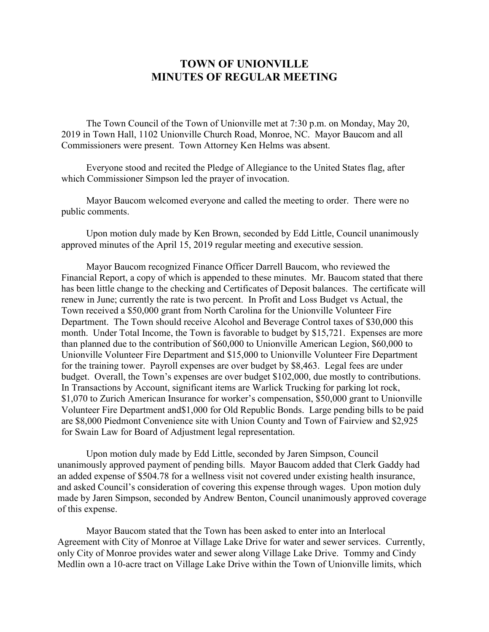## **TOWN OF UNIONVILLE MINUTES OF REGULAR MEETING**

The Town Council of the Town of Unionville met at 7:30 p.m. on Monday, May 20, 2019 in Town Hall, 1102 Unionville Church Road, Monroe, NC. Mayor Baucom and all Commissioners were present. Town Attorney Ken Helms was absent.

Everyone stood and recited the Pledge of Allegiance to the United States flag, after which Commissioner Simpson led the prayer of invocation.

Mayor Baucom welcomed everyone and called the meeting to order. There were no public comments.

Upon motion duly made by Ken Brown, seconded by Edd Little, Council unanimously approved minutes of the April 15, 2019 regular meeting and executive session.

Mayor Baucom recognized Finance Officer Darrell Baucom, who reviewed the Financial Report, a copy of which is appended to these minutes. Mr. Baucom stated that there has been little change to the checking and Certificates of Deposit balances. The certificate will renew in June; currently the rate is two percent. In Profit and Loss Budget vs Actual, the Town received a \$50,000 grant from North Carolina for the Unionville Volunteer Fire Department. The Town should receive Alcohol and Beverage Control taxes of \$30,000 this month. Under Total Income, the Town is favorable to budget by \$15,721. Expenses are more than planned due to the contribution of \$60,000 to Unionville American Legion, \$60,000 to Unionville Volunteer Fire Department and \$15,000 to Unionville Volunteer Fire Department for the training tower. Payroll expenses are over budget by \$8,463. Legal fees are under budget. Overall, the Town's expenses are over budget \$102,000, due mostly to contributions. In Transactions by Account, significant items are Warlick Trucking for parking lot rock, \$1,070 to Zurich American Insurance for worker's compensation, \$50,000 grant to Unionville Volunteer Fire Department and\$1,000 for Old Republic Bonds. Large pending bills to be paid are \$8,000 Piedmont Convenience site with Union County and Town of Fairview and \$2,925 for Swain Law for Board of Adjustment legal representation.

Upon motion duly made by Edd Little, seconded by Jaren Simpson, Council unanimously approved payment of pending bills. Mayor Baucom added that Clerk Gaddy had an added expense of \$504.78 for a wellness visit not covered under existing health insurance, and asked Council's consideration of covering this expense through wages. Upon motion duly made by Jaren Simpson, seconded by Andrew Benton, Council unanimously approved coverage of this expense.

Mayor Baucom stated that the Town has been asked to enter into an Interlocal Agreement with City of Monroe at Village Lake Drive for water and sewer services. Currently, only City of Monroe provides water and sewer along Village Lake Drive. Tommy and Cindy Medlin own a 10-acre tract on Village Lake Drive within the Town of Unionville limits, which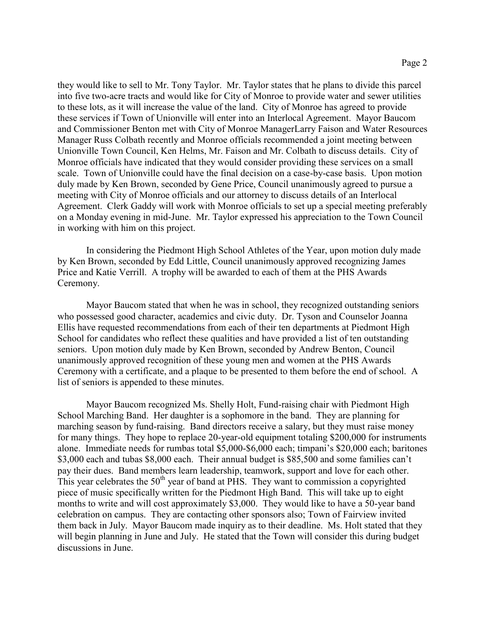they would like to sell to Mr. Tony Taylor. Mr. Taylor states that he plans to divide this parcel into five two-acre tracts and would like for City of Monroe to provide water and sewer utilities to these lots, as it will increase the value of the land. City of Monroe has agreed to provide these services if Town of Unionville will enter into an Interlocal Agreement. Mayor Baucom and Commissioner Benton met with City of Monroe ManagerLarry Faison and Water Resources Manager Russ Colbath recently and Monroe officials recommended a joint meeting between Unionville Town Council, Ken Helms, Mr. Faison and Mr. Colbath to discuss details. City of Monroe officials have indicated that they would consider providing these services on a small scale. Town of Unionville could have the final decision on a case-by-case basis. Upon motion duly made by Ken Brown, seconded by Gene Price, Council unanimously agreed to pursue a meeting with City of Monroe officials and our attorney to discuss details of an Interlocal Agreement. Clerk Gaddy will work with Monroe officials to set up a special meeting preferably on a Monday evening in mid-June. Mr. Taylor expressed his appreciation to the Town Council in working with him on this project.

In considering the Piedmont High School Athletes of the Year, upon motion duly made by Ken Brown, seconded by Edd Little, Council unanimously approved recognizing James Price and Katie Verrill. A trophy will be awarded to each of them at the PHS Awards Ceremony.

Mayor Baucom stated that when he was in school, they recognized outstanding seniors who possessed good character, academics and civic duty. Dr. Tyson and Counselor Joanna Ellis have requested recommendations from each of their ten departments at Piedmont High School for candidates who reflect these qualities and have provided a list of ten outstanding seniors. Upon motion duly made by Ken Brown, seconded by Andrew Benton, Council unanimously approved recognition of these young men and women at the PHS Awards Ceremony with a certificate, and a plaque to be presented to them before the end of school. A list of seniors is appended to these minutes.

Mayor Baucom recognized Ms. Shelly Holt, Fund-raising chair with Piedmont High School Marching Band. Her daughter is a sophomore in the band. They are planning for marching season by fund-raising. Band directors receive a salary, but they must raise money for many things. They hope to replace 20-year-old equipment totaling \$200,000 for instruments alone. Immediate needs for rumbas total \$5,000-\$6,000 each; timpani's \$20,000 each; baritones \$3,000 each and tubas \$8,000 each. Their annual budget is \$85,500 and some families can't pay their dues. Band members learn leadership, teamwork, support and love for each other. This year celebrates the  $50<sup>th</sup>$  year of band at PHS. They want to commission a copyrighted piece of music specifically written for the Piedmont High Band. This will take up to eight months to write and will cost approximately \$3,000. They would like to have a 50-year band celebration on campus. They are contacting other sponsors also; Town of Fairview invited them back in July. Mayor Baucom made inquiry as to their deadline. Ms. Holt stated that they will begin planning in June and July. He stated that the Town will consider this during budget discussions in June.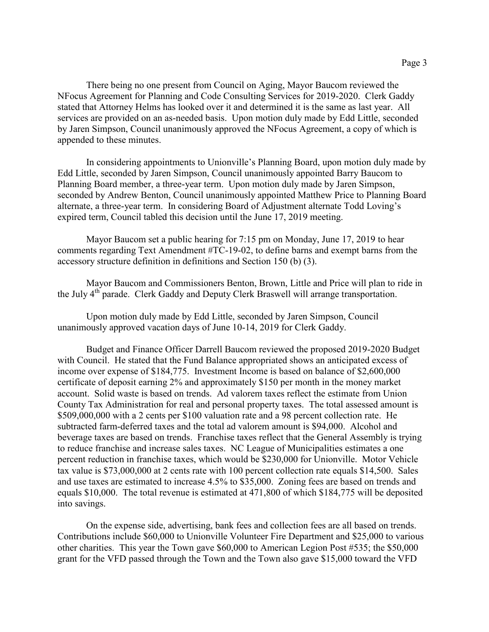There being no one present from Council on Aging, Mayor Baucom reviewed the NFocus Agreement for Planning and Code Consulting Services for 2019-2020. Clerk Gaddy stated that Attorney Helms has looked over it and determined it is the same as last year. All services are provided on an as-needed basis. Upon motion duly made by Edd Little, seconded by Jaren Simpson, Council unanimously approved the NFocus Agreement, a copy of which is appended to these minutes.

In considering appointments to Unionville's Planning Board, upon motion duly made by Edd Little, seconded by Jaren Simpson, Council unanimously appointed Barry Baucom to Planning Board member, a three-year term. Upon motion duly made by Jaren Simpson, seconded by Andrew Benton, Council unanimously appointed Matthew Price to Planning Board alternate, a three-year term. In considering Board of Adjustment alternate Todd Loving's expired term, Council tabled this decision until the June 17, 2019 meeting.

Mayor Baucom set a public hearing for 7:15 pm on Monday, June 17, 2019 to hear comments regarding Text Amendment #TC-19-02, to define barns and exempt barns from the accessory structure definition in definitions and Section 150 (b) (3).

Mayor Baucom and Commissioners Benton, Brown, Little and Price will plan to ride in the July  $4<sup>th</sup>$  parade. Clerk Gaddy and Deputy Clerk Braswell will arrange transportation.

Upon motion duly made by Edd Little, seconded by Jaren Simpson, Council unanimously approved vacation days of June 10-14, 2019 for Clerk Gaddy.

Budget and Finance Officer Darrell Baucom reviewed the proposed 2019-2020 Budget with Council. He stated that the Fund Balance appropriated shows an anticipated excess of income over expense of \$184,775. Investment Income is based on balance of \$2,600,000 certificate of deposit earning 2% and approximately \$150 per month in the money market account. Solid waste is based on trends. Ad valorem taxes reflect the estimate from Union County Tax Administration for real and personal property taxes. The total assessed amount is \$509,000,000 with a 2 cents per \$100 valuation rate and a 98 percent collection rate. He subtracted farm-deferred taxes and the total ad valorem amount is \$94,000. Alcohol and beverage taxes are based on trends. Franchise taxes reflect that the General Assembly is trying to reduce franchise and increase sales taxes. NC League of Municipalities estimates a one percent reduction in franchise taxes, which would be \$230,000 for Unionville. Motor Vehicle tax value is \$73,000,000 at 2 cents rate with 100 percent collection rate equals \$14,500. Sales and use taxes are estimated to increase 4.5% to \$35,000. Zoning fees are based on trends and equals \$10,000. The total revenue is estimated at 471,800 of which \$184,775 will be deposited into savings.

On the expense side, advertising, bank fees and collection fees are all based on trends. Contributions include \$60,000 to Unionville Volunteer Fire Department and \$25,000 to various other charities. This year the Town gave \$60,000 to American Legion Post #535; the \$50,000 grant for the VFD passed through the Town and the Town also gave \$15,000 toward the VFD